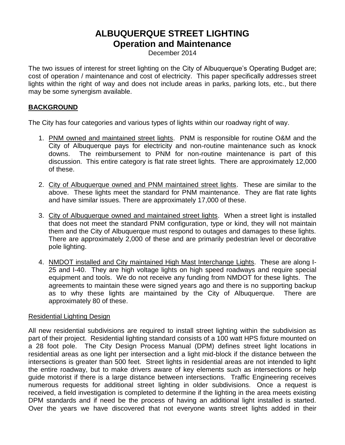# **ALBUQUERQUE STREET LIGHTING Operation and Maintenance**

December 2014

The two issues of interest for street lighting on the City of Albuquerque's Operating Budget are; cost of operation / maintenance and cost of electricity. This paper specifically addresses street lights within the right of way and does not include areas in parks, parking lots, etc., but there may be some synergism available.

# **BACKGROUND**

The City has four categories and various types of lights within our roadway right of way.

- 1. PNM owned and maintained street lights. PNM is responsible for routine O&M and the City of Albuquerque pays for electricity and non-routine maintenance such as knock downs. The reimbursement to PNM for non-routine maintenance is part of this discussion. This entire category is flat rate street lights. There are approximately 12,000 of these.
- 2. City of Albuquerque owned and PNM maintained street lights. These are similar to the above. These lights meet the standard for PNM maintenance. They are flat rate lights and have similar issues. There are approximately 17,000 of these.
- 3. City of Albuquerque owned and maintained street lights. When a street light is installed that does not meet the standard PNM configuration, type or kind, they will not maintain them and the City of Albuquerque must respond to outages and damages to these lights. There are approximately 2,000 of these and are primarily pedestrian level or decorative pole lighting.
- 4. NMDOT installed and City maintained High Mast Interchange Lights. These are along I-25 and I-40. They are high voltage lights on high speed roadways and require special equipment and tools. We do not receive any funding from NMDOT for these lights. The agreements to maintain these were signed years ago and there is no supporting backup as to why these lights are maintained by the City of Albuquerque. There are approximately 80 of these.

# Residential Lighting Design

All new residential subdivisions are required to install street lighting within the subdivision as part of their project. Residential lighting standard consists of a 100 watt HPS fixture mounted on a 28 foot pole. The City Design Process Manual (DPM) defines street light locations in residential areas as one light per intersection and a light mid-block if the distance between the intersections is greater than 500 feet. Street lights in residential areas are not intended to light the entire roadway, but to make drivers aware of key elements such as intersections or help guide motorist if there is a large distance between intersections. Traffic Engineering receives numerous requests for additional street lighting in older subdivisions. Once a request is received, a field investigation is completed to determine if the lighting in the area meets existing DPM standards and if need be the process of having an additional light installed is started. Over the years we have discovered that not everyone wants street lights added in their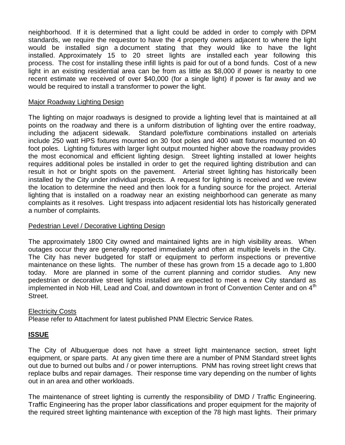neighborhood. If it is determined that a light could be added in order to comply with DPM standards, we require the requestor to have the 4 property owners adjacent to where the light would be installed sign a document stating that they would like to have the light installed. Approximately 15 to 20 street lights are installed each year following this process. The cost for installing these infill lights is paid for out of a bond funds. Cost of a new light in an existing residential area can be from as little as \$8,000 if power is nearby to one recent estimate we received of over \$40,000 (for a single light) if power is far away and we would be required to install a transformer to power the light.

### Major Roadway Lighting Design

The lighting on major roadways is designed to provide a lighting level that is maintained at all points on the roadway and there is a uniform distribution of lighting over the entire roadway, including the adjacent sidewalk. Standard pole/fixture combinations installed on arterials include 250 watt HPS fixtures mounted on 30 foot poles and 400 watt fixtures mounted on 40 foot poles. Lighting fixtures with larger light output mounted higher above the roadway provides the most economical and efficient lighting design. Street lighting installed at lower heights requires additional poles be installed in order to get the required lighting distribution and can result in hot or bright spots on the pavement. Arterial street lighting has historically been installed by the City under individual projects. A request for lighting is received and we review the location to determine the need and then look for a funding source for the project. Arterial lighting that is installed on a roadway near an existing neighborhood can generate as many complaints as it resolves. Light trespass into adjacent residential lots has historically generated a number of complaints.

### Pedestrian Level / Decorative Lighting Design

The approximately 1800 City owned and maintained lights are in high visibility areas. When outages occur they are generally reported immediately and often at multiple levels in the City. The City has never budgeted for staff or equipment to perform inspections or preventive maintenance on these lights. The number of these has grown from 15 a decade ago to 1,800 today. More are planned in some of the current planning and corridor studies. Any new pedestrian or decorative street lights installed are expected to meet a new City standard as implemented in Nob Hill, Lead and Coal, and downtown in front of Convention Center and on 4<sup>th</sup> Street.

#### Electricity Costs

Please refer to Attachment for latest published PNM Electric Service Rates.

# **ISSUE**

The City of Albuquerque does not have a street light maintenance section, street light equipment, or spare parts. At any given time there are a number of PNM Standard street lights out due to burned out bulbs and / or power interruptions. PNM has roving street light crews that replace bulbs and repair damages. Their response time vary depending on the number of lights out in an area and other workloads.

The maintenance of street lighting is currently the responsibility of DMD / Traffic Engineering. Traffic Engineering has the proper labor classifications and proper equipment for the majority of the required street lighting maintenance with exception of the 78 high mast lights. Their primary